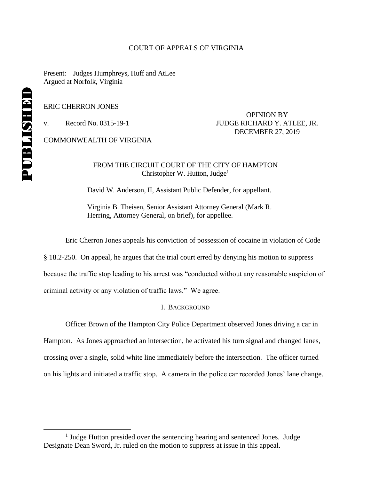### COURT OF APPEALS OF VIRGINIA

Present: Judges Humphreys, Huff and AtLee Argued at Norfolk, Virginia

ERIC CHERRON JONES

OPINION BY v. Record No. 0315-19-1 JUDGE RICHARD Y. ATLEE, JR. DECEMBER 27, 2019

COMMONWEALTH OF VIRGINIA

## FROM THE CIRCUIT COURT OF THE CITY OF HAMPTON Christopher W. Hutton, Judge<sup>1</sup>

David W. Anderson, II, Assistant Public Defender, for appellant.

Virginia B. Theisen, Senior Assistant Attorney General (Mark R. Herring, Attorney General, on brief), for appellee.

Eric Cherron Jones appeals his conviction of possession of cocaine in violation of Code

§ 18.2-250. On appeal, he argues that the trial court erred by denying his motion to suppress because the traffic stop leading to his arrest was "conducted without any reasonable suspicion of criminal activity or any violation of traffic laws." We agree.

I. BACKGROUND

Officer Brown of the Hampton City Police Department observed Jones driving a car in Hampton. As Jones approached an intersection, he activated his turn signal and changed lanes, crossing over a single, solid white line immediately before the intersection. The officer turned on his lights and initiated a traffic stop. A camera in the police car recorded Jones' lane change.

 $\overline{a}$ 

<sup>&</sup>lt;sup>1</sup> Judge Hutton presided over the sentencing hearing and sentenced Jones. Judge Designate Dean Sword, Jr. ruled on the motion to suppress at issue in this appeal.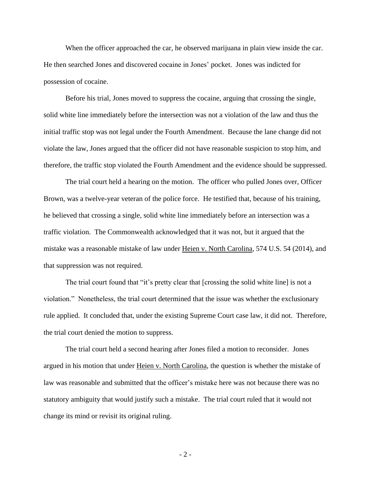When the officer approached the car, he observed marijuana in plain view inside the car. He then searched Jones and discovered cocaine in Jones' pocket. Jones was indicted for possession of cocaine.

Before his trial, Jones moved to suppress the cocaine, arguing that crossing the single, solid white line immediately before the intersection was not a violation of the law and thus the initial traffic stop was not legal under the Fourth Amendment. Because the lane change did not violate the law, Jones argued that the officer did not have reasonable suspicion to stop him, and therefore, the traffic stop violated the Fourth Amendment and the evidence should be suppressed.

The trial court held a hearing on the motion. The officer who pulled Jones over, Officer Brown, was a twelve-year veteran of the police force. He testified that, because of his training, he believed that crossing a single, solid white line immediately before an intersection was a traffic violation. The Commonwealth acknowledged that it was not, but it argued that the mistake was a reasonable mistake of law under Heien v. North Carolina, 574 U.S. 54 (2014), and that suppression was not required.

The trial court found that "it's pretty clear that [crossing the solid white line] is not a violation." Nonetheless, the trial court determined that the issue was whether the exclusionary rule applied. It concluded that, under the existing Supreme Court case law, it did not. Therefore, the trial court denied the motion to suppress.

The trial court held a second hearing after Jones filed a motion to reconsider. Jones argued in his motion that under Heien v. North Carolina, the question is whether the mistake of law was reasonable and submitted that the officer's mistake here was not because there was no statutory ambiguity that would justify such a mistake. The trial court ruled that it would not change its mind or revisit its original ruling.

- 2 -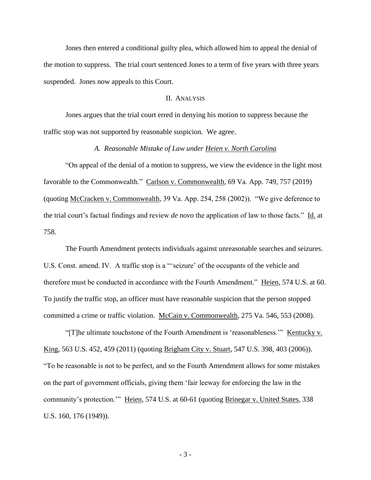Jones then entered a conditional guilty plea, which allowed him to appeal the denial of the motion to suppress. The trial court sentenced Jones to a term of five years with three years suspended. Jones now appeals to this Court.

## II. ANALYSIS

Jones argues that the trial court erred in denying his motion to suppress because the traffic stop was not supported by reasonable suspicion. We agree.

## *A. Reasonable Mistake of Law under Heien v. North Carolina*

"On appeal of the denial of a motion to suppress, we view the evidence in the light most favorable to the Commonwealth." Carlson v. Commonwealth, 69 Va. App. 749, 757 (2019) (quoting McCracken v. Commonwealth, 39 Va. App. 254, 258 (2002)). "We give deference to the trial court's factual findings and review *de novo* the application of law to those facts." Id. at 758.

The Fourth Amendment protects individuals against unreasonable searches and seizures. U.S. Const. amend. IV. A traffic stop is a "'seizure' of the occupants of the vehicle and therefore must be conducted in accordance with the Fourth Amendment." Heien, 574 U.S. at 60. To justify the traffic stop, an officer must have reasonable suspicion that the person stopped committed a crime or traffic violation. McCain v. Commonwealth, 275 Va. 546, 553 (2008).

"[T]he ultimate touchstone of the Fourth Amendment is 'reasonableness."" <u>Kentucky v.</u> King, 563 U.S. 452, 459 (2011) (quoting Brigham City v. Stuart, 547 U.S. 398, 403 (2006)). "To be reasonable is not to be perfect, and so the Fourth Amendment allows for some mistakes on the part of government officials, giving them 'fair leeway for enforcing the law in the community's protection." Heien, 574 U.S. at 60-61 (quoting Brinegar v. United States, 338 U.S. 160, 176 (1949)).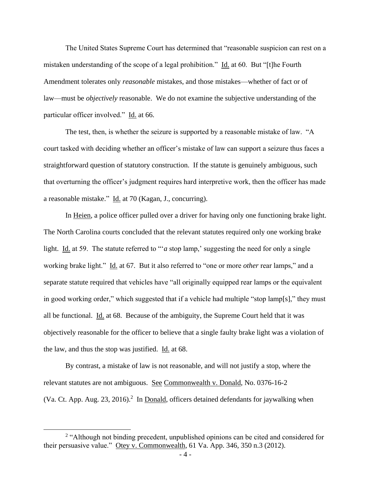The United States Supreme Court has determined that "reasonable suspicion can rest on a mistaken understanding of the scope of a legal prohibition." Id. at 60. But "[t]he Fourth Amendment tolerates only *reasonable* mistakes, and those mistakes—whether of fact or of law—must be *objectively* reasonable. We do not examine the subjective understanding of the particular officer involved." Id. at 66.

The test, then, is whether the seizure is supported by a reasonable mistake of law. "A court tasked with deciding whether an officer's mistake of law can support a seizure thus faces a straightforward question of statutory construction. If the statute is genuinely ambiguous, such that overturning the officer's judgment requires hard interpretive work, then the officer has made a reasonable mistake." Id. at 70 (Kagan, J., concurring).

In Heien, a police officer pulled over a driver for having only one functioning brake light. The North Carolina courts concluded that the relevant statutes required only one working brake light. Id. at 59. The statute referred to "*a* stop lamp,' suggesting the need for only a single working brake light." Id. at 67. But it also referred to "one or more *other* rear lamps," and a separate statute required that vehicles have "all originally equipped rear lamps or the equivalent in good working order," which suggested that if a vehicle had multiple "stop lamp[s]," they must all be functional. Id. at  $68$ . Because of the ambiguity, the Supreme Court held that it was objectively reasonable for the officer to believe that a single faulty brake light was a violation of the law, and thus the stop was justified. Id. at 68.

By contrast, a mistake of law is not reasonable, and will not justify a stop, where the relevant statutes are not ambiguous. See Commonwealth v. Donald, No. 0376-16-2 (Va. Ct. App. Aug. 23, 2016).<sup>2</sup> In Donald, officers detained defendants for jaywalking when

 $\overline{a}$ 

<sup>&</sup>lt;sup>2</sup> "Although not binding precedent, unpublished opinions can be cited and considered for their persuasive value." Otey v. Commonwealth, 61 Va. App. 346, 350 n.3 (2012).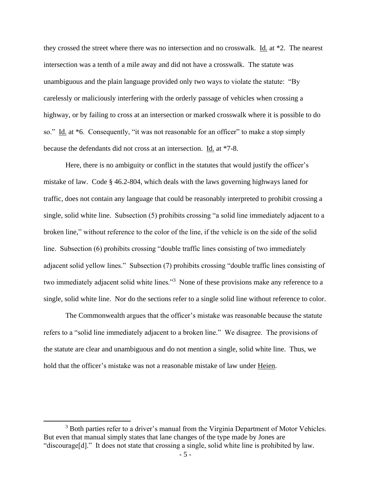they crossed the street where there was no intersection and no crosswalk. Id. at \*2. The nearest intersection was a tenth of a mile away and did not have a crosswalk. The statute was unambiguous and the plain language provided only two ways to violate the statute: "By carelessly or maliciously interfering with the orderly passage of vehicles when crossing a highway, or by failing to cross at an intersection or marked crosswalk where it is possible to do so." Id. at \*6. Consequently, "it was not reasonable for an officer" to make a stop simply because the defendants did not cross at an intersection. Id. at \*7-8.

Here, there is no ambiguity or conflict in the statutes that would justify the officer's mistake of law. Code § 46.2-804, which deals with the laws governing highways laned for traffic, does not contain any language that could be reasonably interpreted to prohibit crossing a single, solid white line. Subsection (5) prohibits crossing "a solid line immediately adjacent to a broken line," without reference to the color of the line, if the vehicle is on the side of the solid line. Subsection (6) prohibits crossing "double traffic lines consisting of two immediately adjacent solid yellow lines." Subsection (7) prohibits crossing "double traffic lines consisting of two immediately adjacent solid white lines."<sup>3</sup> None of these provisions make any reference to a single, solid white line. Nor do the sections refer to a single solid line without reference to color.

The Commonwealth argues that the officer's mistake was reasonable because the statute refers to a "solid line immediately adjacent to a broken line." We disagree. The provisions of the statute are clear and unambiguous and do not mention a single, solid white line. Thus, we hold that the officer's mistake was not a reasonable mistake of law under Heien.

 $\overline{a}$ 

<sup>&</sup>lt;sup>3</sup> Both parties refer to a driver's manual from the Virginia Department of Motor Vehicles. But even that manual simply states that lane changes of the type made by Jones are "discourage[d]." It does not state that crossing a single, solid white line is prohibited by law.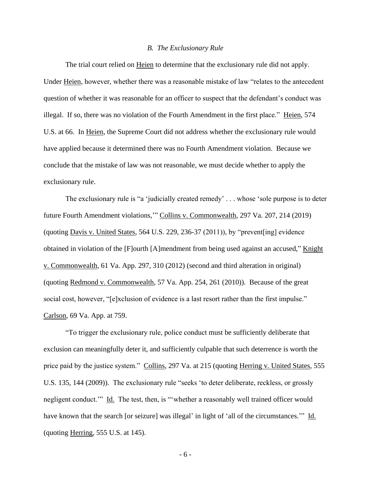#### *B. The Exclusionary Rule*

The trial court relied on Heien to determine that the exclusionary rule did not apply. Under Heien, however, whether there was a reasonable mistake of law "relates to the antecedent question of whether it was reasonable for an officer to suspect that the defendant's conduct was illegal. If so, there was no violation of the Fourth Amendment in the first place." Heien, 574 U.S. at 66. In Heien, the Supreme Court did not address whether the exclusionary rule would have applied because it determined there was no Fourth Amendment violation. Because we conclude that the mistake of law was not reasonable, we must decide whether to apply the exclusionary rule.

The exclusionary rule is "a 'judicially created remedy' . . . whose 'sole purpose is to deter future Fourth Amendment violations,'" Collins v. Commonwealth, 297 Va. 207, 214 (2019) (quoting Davis v. United States, 564 U.S. 229, 236-37 (2011)), by "prevent[ing] evidence obtained in violation of the [F]ourth [A]mendment from being used against an accused," Knight v. Commonwealth, 61 Va. App. 297, 310 (2012) (second and third alteration in original) (quoting Redmond v. Commonwealth, 57 Va. App. 254, 261 (2010)). Because of the great social cost, however, "[e]xclusion of evidence is a last resort rather than the first impulse." Carlson, 69 Va. App. at 759.

"To trigger the exclusionary rule, police conduct must be sufficiently deliberate that exclusion can meaningfully deter it, and sufficiently culpable that such deterrence is worth the price paid by the justice system." Collins, 297 Va. at 215 (quoting Herring v. United States, 555 U.S. 135, 144 (2009)). The exclusionary rule "seeks 'to deter deliberate, reckless, or grossly negligent conduct." Id. The test, then, is "whether a reasonably well trained officer would have known that the search [or seizure] was illegal' in light of 'all of the circumstances.'" Id. (quoting Herring, 555 U.S. at 145).